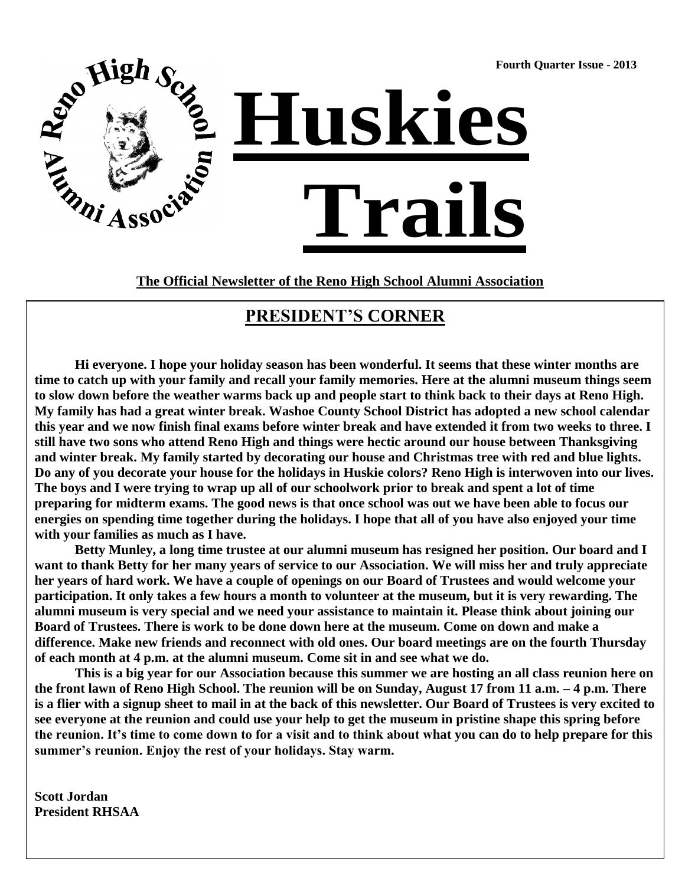**Fourth Quarter Issue - 2013**



**The Official Newsletter of the Reno High School Alumni Association**

#### **PRESIDENT'S CORNER**

**Hi everyone. I hope your holiday season has been wonderful. It seems that these winter months are time to catch up with your family and recall your family memories. Here at the alumni museum things seem to slow down before the weather warms back up and people start to think back to their days at Reno High. My family has had a great winter break. Washoe County School District has adopted a new school calendar this year and we now finish final exams before winter break and have extended it from two weeks to three. I still have two sons who attend Reno High and things were hectic around our house between Thanksgiving and winter break. My family started by decorating our house and Christmas tree with red and blue lights. Do any of you decorate your house for the holidays in Huskie colors? Reno High is interwoven into our lives. The boys and I were trying to wrap up all of our schoolwork prior to break and spent a lot of time preparing for midterm exams. The good news is that once school was out we have been able to focus our energies on spending time together during the holidays. I hope that all of you have also enjoyed your time with your families as much as I have.** 

**Betty Munley, a long time trustee at our alumni museum has resigned her position. Our board and I want to thank Betty for her many years of service to our Association. We will miss her and truly appreciate her years of hard work. We have a couple of openings on our Board of Trustees and would welcome your participation. It only takes a few hours a month to volunteer at the museum, but it is very rewarding. The alumni museum is very special and we need your assistance to maintain it. Please think about joining our Board of Trustees. There is work to be done down here at the museum. Come on down and make a difference. Make new friends and reconnect with old ones. Our board meetings are on the fourth Thursday of each month at 4 p.m. at the alumni museum. Come sit in and see what we do.**

**This is a big year for our Association because this summer we are hosting an all class reunion here on the front lawn of Reno High School. The reunion will be on Sunday, August 17 from 11 a.m. – 4 p.m. There is a flier with a signup sheet to mail in at the back of this newsletter. Our Board of Trustees is very excited to see everyone at the reunion and could use your help to get the museum in pristine shape this spring before the reunion. It's time to come down to for a visit and to think about what you can do to help prepare for this summer's reunion. Enjoy the rest of your holidays. Stay warm.**

**Scott Jordan President RHSAA**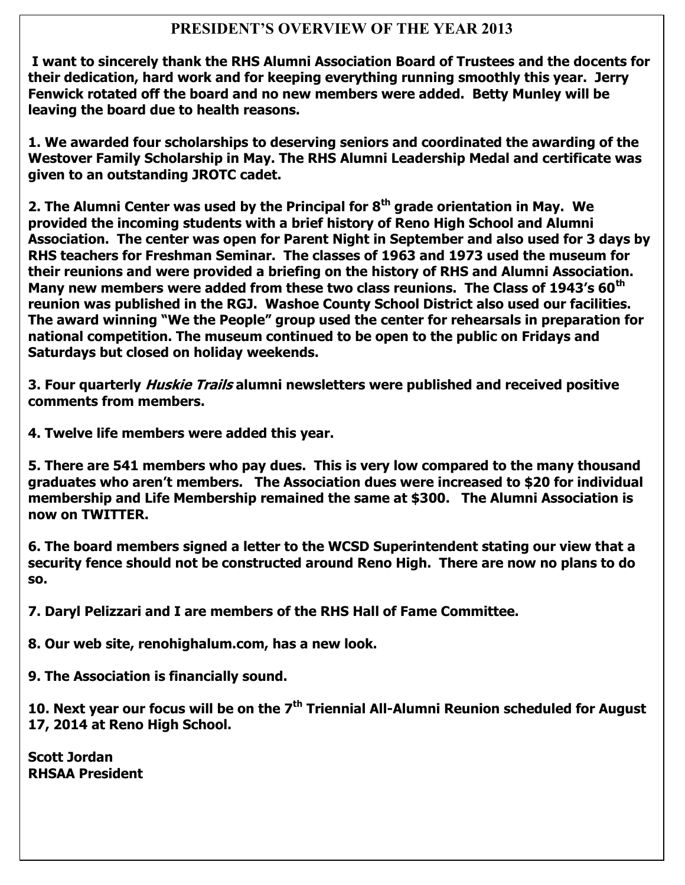#### **PRESIDENT'S OVERVIEW OF THE YEAR 2013**

**I want to sincerely thank the RHS Alumni Association Board of Trustees and the docents for their dedication, hard work and for keeping everything running smoothly this year. Jerry Fenwick rotated off the board and no new members were added. Betty Munley will be leaving the board due to health reasons.**

**1. We awarded four scholarships to deserving seniors and coordinated the awarding of the Westover Family Scholarship in May. The RHS Alumni Leadership Medal and certificate was given to an outstanding JROTC cadet.** 

**2. The Alumni Center was used by the Principal for 8th grade orientation in May. We provided the incoming students with a brief history of Reno High School and Alumni Association. The center was open for Parent Night in September and also used for 3 days by RHS teachers for Freshman Seminar. The classes of 1963 and 1973 used the museum for their reunions and were provided a briefing on the history of RHS and Alumni Association. Many new members were added from these two class reunions. The Class of 1943's 60th reunion was published in the RGJ. Washoe County School District also used our facilities. The award winning "We the People" group used the center for rehearsals in preparation for national competition. The museum continued to be open to the public on Fridays and Saturdays but closed on holiday weekends.**

**3. Four quarterly Huskie Trails alumni newsletters were published and received positive comments from members.** 

**4. Twelve life members were added this year.**

**5. There are 541 members who pay dues. This is very low compared to the many thousand graduates who aren't members. The Association dues were increased to \$20 for individual membership and Life Membership remained the same at \$300. The Alumni Association is now on TWITTER.**

**6. The board members signed a letter to the WCSD Superintendent stating our view that a security fence should not be constructed around Reno High. There are now no plans to do so.** 

**7. Daryl Pelizzari and I are members of the RHS Hall of Fame Committee.** 

**8. Our web site, renohighalum.com, has a new look.**

**9. The Association is financially sound.**

**10. Next year our focus will be on the 7th Triennial All-Alumni Reunion scheduled for August 17, 2014 at Reno High School.**

**Scott Jordan RHSAA President**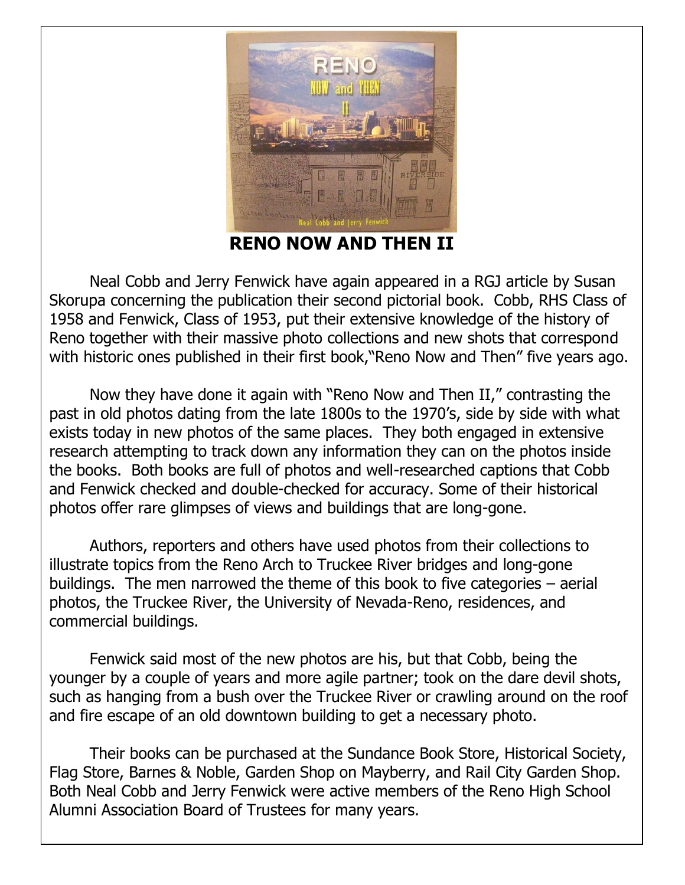

**EXCELLENCE IN EXCELLENCE IN EXCELLENCE II** 3. RHS Sophomore Katarina Clark, 15, will represent Nevada in this year's Miss America's Outstanding Teen

Pageant in Orlando, Florida. Her platform is to combat bullying. She believes that by telling a trusted adult, Neal Cobb and Jerry Fenwick have again appeared in a RGJ article by Susan Skorupa concerning the publication their second pictorial book. Cobb, RHS Class of 1958 and Fenwick, Class of 1953, put their extensive knowledge of the history of  $\frac{1}{2}$  a Unit graduate, served in the U.S. Army for  $\frac{1}{2}$  in the served in the school in the school in the school in the school in the school in the school in the school in the school in the school in the school in Reno together with their massive photo collections and new shots that correspond with historic ones published in their first book,"Reno Now and Then" five years ago.

Now they have done it again with "Reno Now and Then II," contrasting the past in old photos dating from the late 1800s to the 1970's, side by side with what exists today in new photos of the same places. They both engaged in extensive research attempting to track down any information they can on the photos inside the books. Both books are full of photos and well-researched captions that Cobb and Fenwick checked and double-checked for accuracy. Some of their historical photos offer rare glimpses of views and buildings that are long-gone.

Authors, reporters and others have used photos from their collections to illustrate topics from the Reno Arch to Truckee River bridges and long-gone buildings. The men narrowed the theme of this book to five categories – aerial photos, the Truckee River, the University of Nevada-Reno, residences, and commercial buildings.

Fenwick said most of the new photos are his, but that Cobb, being the younger by a couple of years and more agile partner; took on the dare devil shots, such as hanging from a bush over the Truckee River or crawling around on the roof and fire escape of an old downtown building to get a necessary photo.

Their books can be purchased at the Sundance Book Store, Historical Society, Flag Store, Barnes & Noble, Garden Shop on Mayberry, and Rail City Garden Shop. Both Neal Cobb and Jerry Fenwick were active members of the Reno High School Alumni Association Board of Trustees for many years.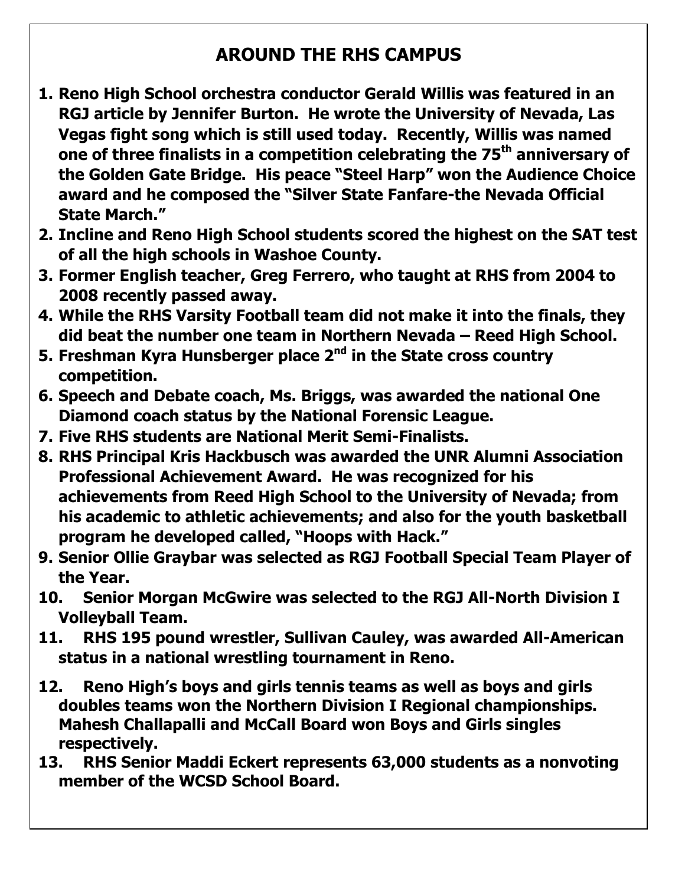## **AROUND THE RHS CAMPUS**

- **1. Reno High School orchestra conductor Gerald Willis was featured in an RGJ article by Jennifer Burton. He wrote the University of Nevada, Las Vegas fight song which is still used today. Recently, Willis was named one of three finalists in a competition celebrating the 75th anniversary of the Golden Gate Bridge. His peace "Steel Harp" won the Audience Choice award and he composed the "Silver State Fanfare-the Nevada Official State March."**
- **2. Incline and Reno High School students scored the highest on the SAT test of all the high schools in Washoe County.**
- **3. Former English teacher, Greg Ferrero, who taught at RHS from 2004 to 2008 recently passed away.**
- **4. While the RHS Varsity Football team did not make it into the finals, they did beat the number one team in Northern Nevada – Reed High School.**
- **5. Freshman Kyra Hunsberger place 2nd in the State cross country competition.**
- **6. Speech and Debate coach, Ms. Briggs, was awarded the national One Diamond coach status by the National Forensic League.**
- **7. Five RHS students are National Merit Semi-Finalists.**
- **8. RHS Principal Kris Hackbusch was awarded the UNR Alumni Association Professional Achievement Award. He was recognized for his achievements from Reed High School to the University of Nevada; from his academic to athletic achievements; and also for the youth basketball program he developed called, "Hoops with Hack."**
- **9. Senior Ollie Graybar was selected as RGJ Football Special Team Player of the Year.**
- **10. Senior Morgan McGwire was selected to the RGJ All-North Division I Volleyball Team.**
- **11. RHS 195 pound wrestler, Sullivan Cauley, was awarded All-American status in a national wrestling tournament in Reno.**
- **12. Reno High's boys and girls tennis teams as well as boys and girls doubles teams won the Northern Division I Regional championships. Mahesh Challapalli and McCall Board won Boys and Girls singles respectively.**
- **13. RHS Senior Maddi Eckert represents 63,000 students as a nonvoting member of the WCSD School Board.**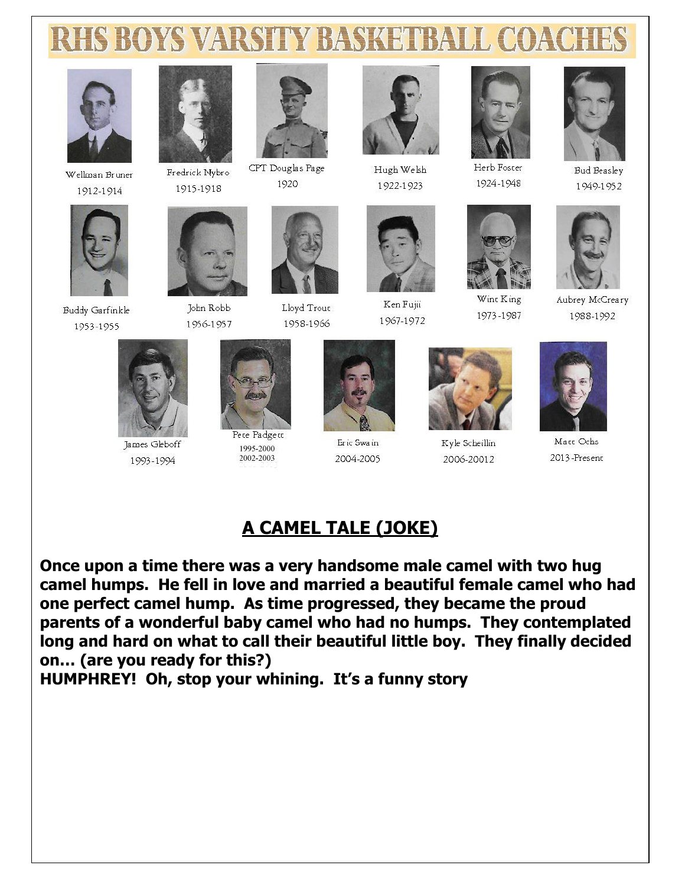# **RHS BOYS VARSITY BASKETBALL COACHE**



Wellman Bruner 1912-1914

**Buddy Garfinkle** 

1953-1955



John Robb

1956-1957

Fredrick Nybro 1915-1918



CPT Douglas Page 1920

Lloyd Trout



Hugh Welsh 1922-1923



Ken Fujii 1967-1972



Herb Foster 1924-1948



Wint King 1973-1987



**Bud Beasley** 1949-1952



Aubrey McCreary 1988-1992



James Gleboff 1993-1994



Pete Padgett 1995-2000 2002-2003



Eric Swain 2004-2005



Kyle Scheillin 2006-20012



Matt Ochs 2013-Present

### A CAMEL TALE (JOKE)

Once upon a time there was a very handsome male camel with two hug camel humps. He fell in love and married a beautiful female camel who had one perfect camel hump. As time progressed, they became the proud parents of a wonderful baby camel who had no humps. They contemplated long and hard on what to call their beautiful little boy. They finally decided on... (are you ready for this?)

HUMPHREY! Oh, stop your whining. It's a funny story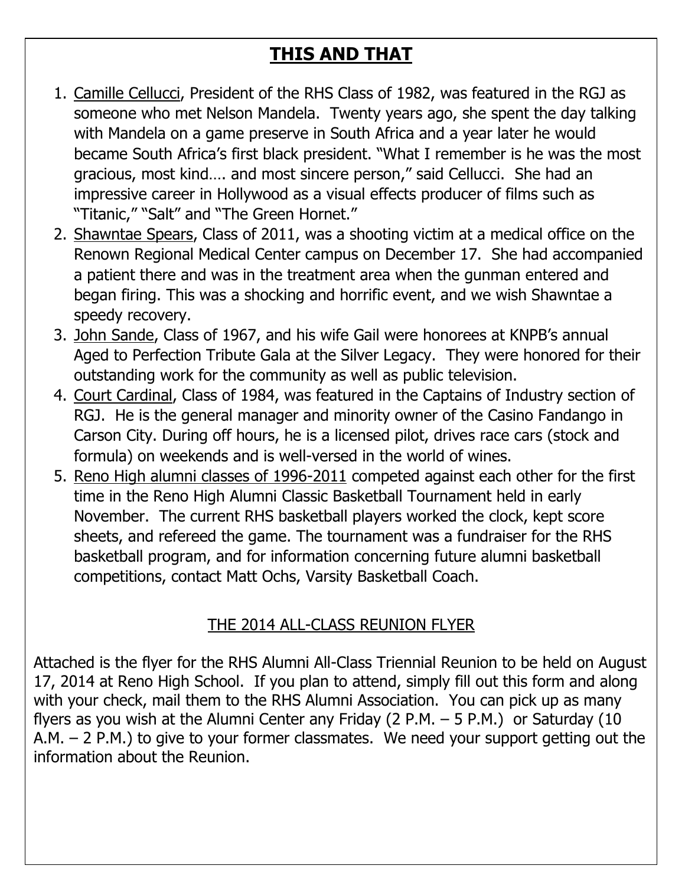# **THIS AND THAT**

- 1. Camille Cellucci, President of the RHS Class of 1982, was featured in the RGJ as someone who met Nelson Mandela. Twenty years ago, she spent the day talking with Mandela on a game preserve in South Africa and a year later he would became South Africa's first black president. "What I remember is he was the most gracious, most kind…. and most sincere person," said Cellucci. She had an impressive career in Hollywood as a visual effects producer of films such as "Titanic," "Salt" and "The Green Hornet."
- 2. Shawntae Spears, Class of 2011, was a shooting victim at a medical office on the Renown Regional Medical Center campus on December 17. She had accompanied a patient there and was in the treatment area when the gunman entered and began firing. This was a shocking and horrific event, and we wish Shawntae a speedy recovery.
- 3. John Sande, Class of 1967, and his wife Gail were honorees at KNPB's annual Aged to Perfection Tribute Gala at the Silver Legacy. They were honored for their outstanding work for the community as well as public television.
- 4. Court Cardinal, Class of 1984, was featured in the Captains of Industry section of RGJ. He is the general manager and minority owner of the Casino Fandango in Carson City. During off hours, he is a licensed pilot, drives race cars (stock and formula) on weekends and is well-versed in the world of wines.
- 5. Reno High alumni classes of 1996-2011 competed against each other for the first time in the Reno High Alumni Classic Basketball Tournament held in early November. The current RHS basketball players worked the clock, kept score sheets, and refereed the game. The tournament was a fundraiser for the RHS basketball program, and for information concerning future alumni basketball competitions, contact Matt Ochs, Varsity Basketball Coach.

### THE 2014 ALL-CLASS REUNION FLYER

Attached is the flyer for the RHS Alumni All-Class Triennial Reunion to be held on August 17, 2014 at Reno High School. If you plan to attend, simply fill out this form and along with your check, mail them to the RHS Alumni Association. You can pick up as many flyers as you wish at the Alumni Center any Friday (2 P.M.  $-$  5 P.M.) or Saturday (10 A.M. – 2 P.M.) to give to your former classmates. We need your support getting out the information about the Reunion.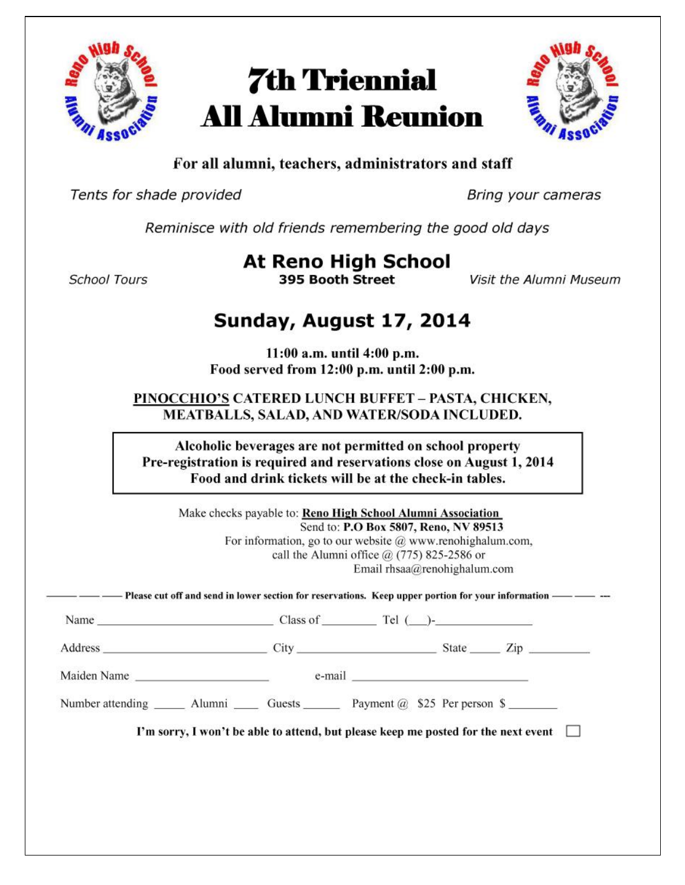

# **7th Triennial All Alumni Reunion**



#### For all alumni, teachers, administrators and staff

Tents for shade provided

Bring your cameras

Reminisce with old friends remembering the good old days

**School Tours** 

**At Reno High School** 395 Booth Street

Visit the Alumni Museum

## Sunday, August 17, 2014

11:00 a.m. until 4:00 p.m. Food served from 12:00 p.m. until 2:00 p.m.

PINOCCHIO'S CATERED LUNCH BUFFET - PASTA, CHICKEN, MEATBALLS, SALAD, AND WATER/SODA INCLUDED.

Alcoholic beverages are not permitted on school property Pre-registration is required and reservations close on August 1, 2014 Food and drink tickets will be at the check-in tables.

Make checks payable to: Reno High School Alumni Association Send to: P.O Box 5807, Reno, NV 89513 For information, go to our website  $@$  www.renohighalum.com, call the Alumni office @ (775) 825-2586 or Email rhsaa@renohighalum.com

Name  $\qquad \qquad \text{Class of } \qquad \text{Tel } (\qquad)$ -

Address Zip

Maiden Name e-mail e-mail

Number attending \_\_\_\_\_\_\_\_ Alumni \_\_\_\_\_\_\_ Guests \_\_\_\_\_\_\_\_ Payment @ \$25 Per person \$

I'm sorry, I won't be able to attend, but please keep me posted for the next event  $\Box$